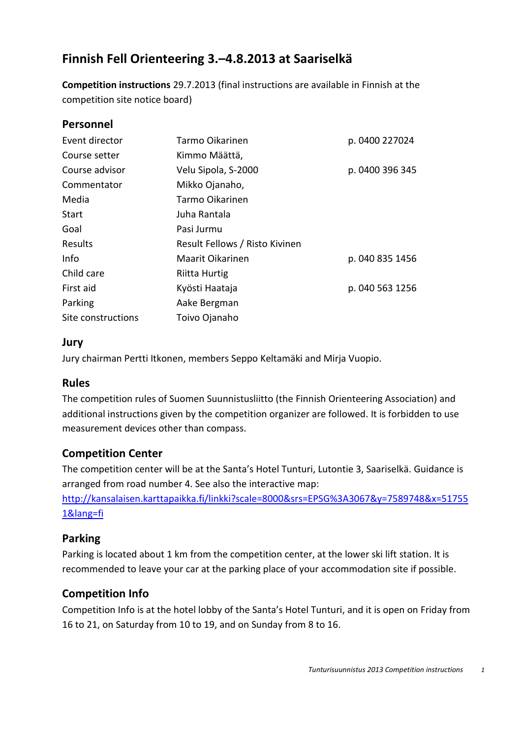# **Finnish Fell Orienteering 3.–4.8.2013 at Saariselkä**

**Competition instructions** 29.7.2013 (final instructions are available in Finnish at the competition site notice board)

#### **Personnel**

| Event director     | Tarmo Oikarinen<br>p. 0400 227024 |                 |  |
|--------------------|-----------------------------------|-----------------|--|
| Course setter      | Kimmo Määttä,                     |                 |  |
| Course advisor     | Velu Sipola, S-2000               | p. 0400 396 345 |  |
| Commentator        | Mikko Ojanaho,                    |                 |  |
| Media              | Tarmo Oikarinen                   |                 |  |
| Start              | Juha Rantala                      |                 |  |
| Goal               | Pasi Jurmu                        |                 |  |
| Results            | Result Fellows / Risto Kivinen    |                 |  |
| Info               | Maarit Oikarinen                  | p. 040 835 1456 |  |
| Child care         | Riitta Hurtig                     |                 |  |
| First aid          | Kyösti Haataja                    | p. 040 563 1256 |  |
| Parking            | Aake Bergman                      |                 |  |
| Site constructions | Toivo Ojanaho                     |                 |  |

#### **Jury**

Jury chairman Pertti Itkonen, members Seppo Keltamäki and Mirja Vuopio.

#### **Rules**

The competition rules of Suomen Suunnistusliitto (the Finnish Orienteering Association) and additional instructions given by the competition organizer are followed. It is forbidden to use measurement devices other than compass.

#### **Competition Center**

The competition center will be at the Santa's Hotel Tunturi, Lutontie 3, Saariselkä. Guidance is arranged from road number 4. See also the interactive map:

[http://kansalaisen.karttapaikka.fi/linkki?scale=8000&srs=EPSG%3A3067&y=7589748&x=51755](http://kansalaisen.karttapaikka.fi/linkki?scale=8000&srs=EPSG%3A3067&y=7589748&x=517551&lang=fi) [1&lang=fi](http://kansalaisen.karttapaikka.fi/linkki?scale=8000&srs=EPSG%3A3067&y=7589748&x=517551&lang=fi)

#### **Parking**

Parking is located about 1 km from the competition center, at the lower ski lift station. It is recommended to leave your car at the parking place of your accommodation site if possible.

## **Competition Info**

Competition Info is at the hotel lobby of the Santa's Hotel Tunturi, and it is open on Friday from 16 to 21, on Saturday from 10 to 19, and on Sunday from 8 to 16.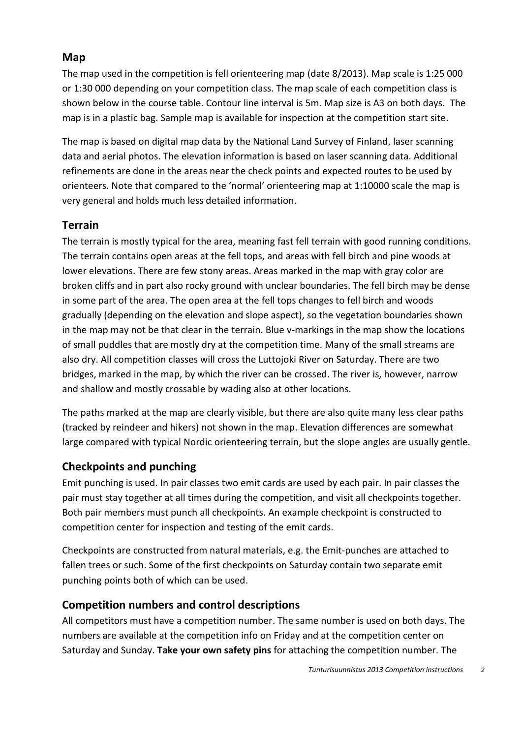#### **Map**

The map used in the competition is fell orienteering map (date 8/2013). Map scale is 1:25 000 or 1:30 000 depending on your competition class. The map scale of each competition class is shown below in the course table. Contour line interval is 5m. Map size is A3 on both days. The map is in a plastic bag. Sample map is available for inspection at the competition start site.

The map is based on digital map data by the National Land Survey of Finland, laser scanning data and aerial photos. The elevation information is based on laser scanning data. Additional refinements are done in the areas near the check points and expected routes to be used by orienteers. Note that compared to the 'normal' orienteering map at 1:10000 scale the map is very general and holds much less detailed information.

#### **Terrain**

The terrain is mostly typical for the area, meaning fast fell terrain with good running conditions. The terrain contains open areas at the fell tops, and areas with fell birch and pine woods at lower elevations. There are few stony areas. Areas marked in the map with gray color are broken cliffs and in part also rocky ground with unclear boundaries. The fell birch may be dense in some part of the area. The open area at the fell tops changes to fell birch and woods gradually (depending on the elevation and slope aspect), so the vegetation boundaries shown in the map may not be that clear in the terrain. Blue v-markings in the map show the locations of small puddles that are mostly dry at the competition time. Many of the small streams are also dry. All competition classes will cross the Luttojoki River on Saturday. There are two bridges, marked in the map, by which the river can be crossed. The river is, however, narrow and shallow and mostly crossable by wading also at other locations.

The paths marked at the map are clearly visible, but there are also quite many less clear paths (tracked by reindeer and hikers) not shown in the map. Elevation differences are somewhat large compared with typical Nordic orienteering terrain, but the slope angles are usually gentle.

## **Checkpoints and punching**

Emit punching is used. In pair classes two emit cards are used by each pair. In pair classes the pair must stay together at all times during the competition, and visit all checkpoints together. Both pair members must punch all checkpoints. An example checkpoint is constructed to competition center for inspection and testing of the emit cards.

Checkpoints are constructed from natural materials, e.g. the Emit-punches are attached to fallen trees or such. Some of the first checkpoints on Saturday contain two separate emit punching points both of which can be used.

## **Competition numbers and control descriptions**

All competitors must have a competition number. The same number is used on both days. The numbers are available at the competition info on Friday and at the competition center on Saturday and Sunday. **Take your own safety pins** for attaching the competition number. The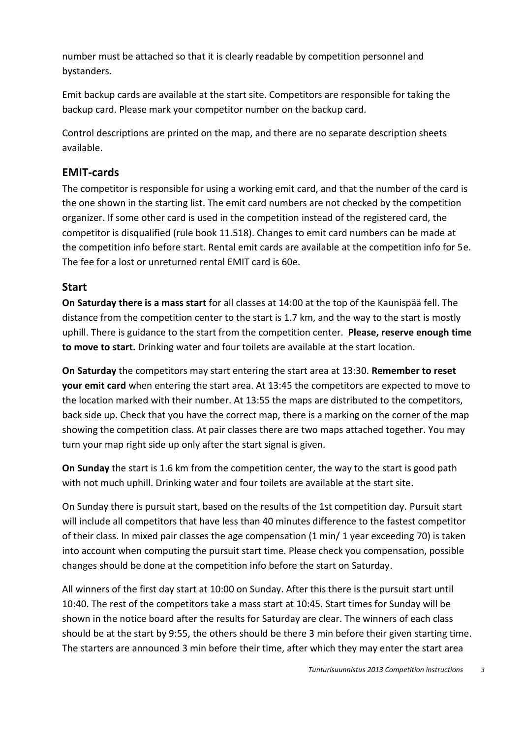number must be attached so that it is clearly readable by competition personnel and bystanders.

Emit backup cards are available at the start site. Competitors are responsible for taking the backup card. Please mark your competitor number on the backup card.

Control descriptions are printed on the map, and there are no separate description sheets available.

#### **EMIT-cards**

The competitor is responsible for using a working emit card, and that the number of the card is the one shown in the starting list. The emit card numbers are not checked by the competition organizer. If some other card is used in the competition instead of the registered card, the competitor is disqualified (rule book 11.518). Changes to emit card numbers can be made at the competition info before start. Rental emit cards are available at the competition info for 5e. The fee for a lost or unreturned rental EMIT card is 60e.

#### **Start**

**On Saturday there is a mass start** for all classes at 14:00 at the top of the Kaunispää fell. The distance from the competition center to the start is 1.7 km, and the way to the start is mostly uphill. There is guidance to the start from the competition center. **Please, reserve enough time to move to start.** Drinking water and four toilets are available at the start location.

**On Saturday** the competitors may start entering the start area at 13:30. **Remember to reset your emit card** when entering the start area. At 13:45 the competitors are expected to move to the location marked with their number. At 13:55 the maps are distributed to the competitors, back side up. Check that you have the correct map, there is a marking on the corner of the map showing the competition class. At pair classes there are two maps attached together. You may turn your map right side up only after the start signal is given.

**On Sunday** the start is 1.6 km from the competition center, the way to the start is good path with not much uphill. Drinking water and four toilets are available at the start site.

On Sunday there is pursuit start, based on the results of the 1st competition day. Pursuit start will include all competitors that have less than 40 minutes difference to the fastest competitor of their class. In mixed pair classes the age compensation (1 min/ 1 year exceeding 70) is taken into account when computing the pursuit start time. Please check you compensation, possible changes should be done at the competition info before the start on Saturday.

All winners of the first day start at 10:00 on Sunday. After this there is the pursuit start until 10:40. The rest of the competitors take a mass start at 10:45. Start times for Sunday will be shown in the notice board after the results for Saturday are clear. The winners of each class should be at the start by 9:55, the others should be there 3 min before their given starting time. The starters are announced 3 min before their time, after which they may enter the start area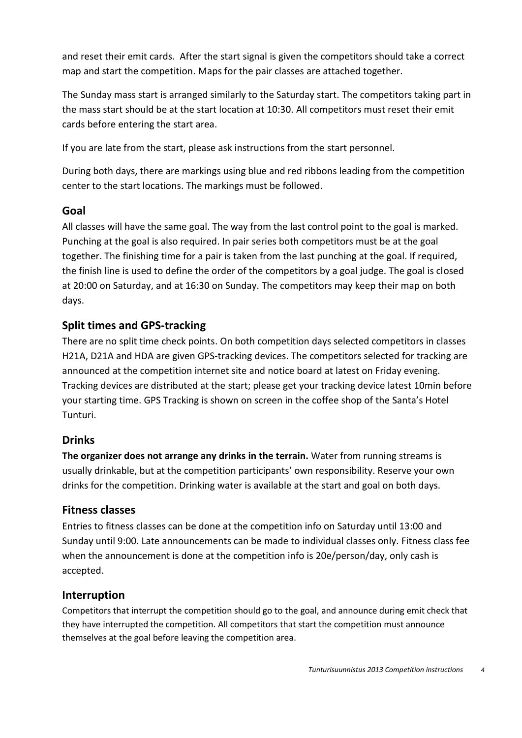and reset their emit cards. After the start signal is given the competitors should take a correct map and start the competition. Maps for the pair classes are attached together.

The Sunday mass start is arranged similarly to the Saturday start. The competitors taking part in the mass start should be at the start location at 10:30. All competitors must reset their emit cards before entering the start area.

If you are late from the start, please ask instructions from the start personnel.

During both days, there are markings using blue and red ribbons leading from the competition center to the start locations. The markings must be followed.

#### **Goal**

All classes will have the same goal. The way from the last control point to the goal is marked. Punching at the goal is also required. In pair series both competitors must be at the goal together. The finishing time for a pair is taken from the last punching at the goal. If required, the finish line is used to define the order of the competitors by a goal judge. The goal is closed at 20:00 on Saturday, and at 16:30 on Sunday. The competitors may keep their map on both days.

## **Split times and GPS-tracking**

There are no split time check points. On both competition days selected competitors in classes H21A, D21A and HDA are given GPS-tracking devices. The competitors selected for tracking are announced at the competition internet site and notice board at latest on Friday evening. Tracking devices are distributed at the start; please get your tracking device latest 10min before your starting time. GPS Tracking is shown on screen in the coffee shop of the Santa's Hotel Tunturi.

## **Drinks**

**The organizer does not arrange any drinks in the terrain.** Water from running streams is usually drinkable, but at the competition participants' own responsibility. Reserve your own drinks for the competition. Drinking water is available at the start and goal on both days.

#### **Fitness classes**

Entries to fitness classes can be done at the competition info on Saturday until 13:00 and Sunday until 9:00. Late announcements can be made to individual classes only. Fitness class fee when the announcement is done at the competition info is 20e/person/day, only cash is accepted.

## **Interruption**

Competitors that interrupt the competition should go to the goal, and announce during emit check that they have interrupted the competition. All competitors that start the competition must announce themselves at the goal before leaving the competition area.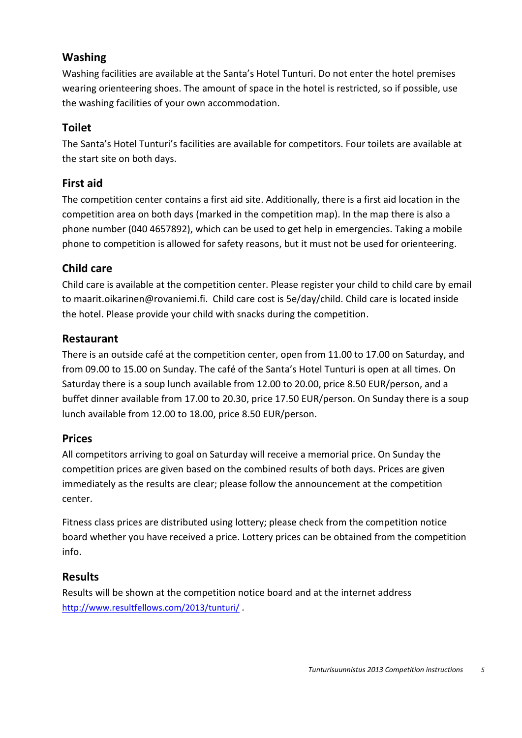#### **Washing**

Washing facilities are available at the Santa's Hotel Tunturi. Do not enter the hotel premises wearing orienteering shoes. The amount of space in the hotel is restricted, so if possible, use the washing facilities of your own accommodation.

## **Toilet**

The Santa's Hotel Tunturi's facilities are available for competitors. Four toilets are available at the start site on both days.

#### **First aid**

The competition center contains a first aid site. Additionally, there is a first aid location in the competition area on both days (marked in the competition map). In the map there is also a phone number (040 4657892), which can be used to get help in emergencies. Taking a mobile phone to competition is allowed for safety reasons, but it must not be used for orienteering.

## **Child care**

Child care is available at the competition center. Please register your child to child care by email to maarit.oikarinen@rovaniemi.fi. Child care cost is 5e/day/child. Child care is located inside the hotel. Please provide your child with snacks during the competition.

#### **Restaurant**

There is an outside café at the competition center, open from 11.00 to 17.00 on Saturday, and from 09.00 to 15.00 on Sunday. The café of the Santa's Hotel Tunturi is open at all times. On Saturday there is a soup lunch available from 12.00 to 20.00, price 8.50 EUR/person, and a buffet dinner available from 17.00 to 20.30, price 17.50 EUR/person. On Sunday there is a soup lunch available from 12.00 to 18.00, price 8.50 EUR/person.

## **Prices**

All competitors arriving to goal on Saturday will receive a memorial price. On Sunday the competition prices are given based on the combined results of both days. Prices are given immediately as the results are clear; please follow the announcement at the competition center.

Fitness class prices are distributed using lottery; please check from the competition notice board whether you have received a price. Lottery prices can be obtained from the competition info.

## **Results**

Results will be shown at the competition notice board and at the internet address <http://www.resultfellows.com/2013/tunturi/>.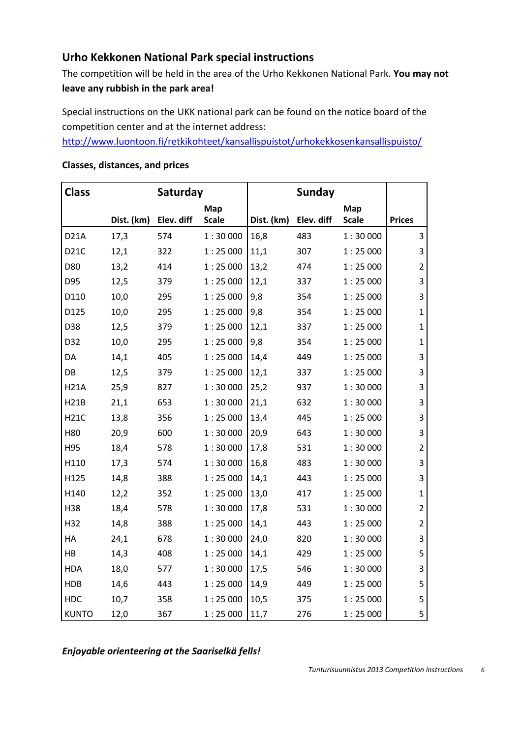#### **Urho Kekkonen National Park special instructions**

The competition will be held in the area of the Urho Kekkonen National Park. **You may not leave any rubbish in the park area!**

Special instructions on the UKK national park can be found on the notice board of the competition center and at the internet address:

[http://www.luontoon.fi/retkikohteet/kansallispuistot/urhokekkosenkansallispuisto/](http://www.luontoon.fi/retkikohteet/kansallispuistot/urhokekkosenkansallispuisto/ohjeetjasaannot/Sivut/Default.aspx)

| <b>Class</b> | Saturday   |            | <b>Sunday</b>       |            |            |                     |                |
|--------------|------------|------------|---------------------|------------|------------|---------------------|----------------|
|              | Dist. (km) | Elev. diff | Map<br><b>Scale</b> | Dist. (km) | Elev. diff | Map<br><b>Scale</b> | <b>Prices</b>  |
| <b>D21A</b>  | 17,3       | 574        | 1:30000             | 16,8       | 483        | 1:30000             | 3              |
| D21C         | 12,1       | 322        | 1:25000             | 11,1       | 307        | 1:25000             | 3              |
| D80          | 13,2       | 414        | 1:25000             | 13,2       | 474        | 1:25000             | $\overline{2}$ |
| D95          | 12,5       | 379        | 1:25000             | 12,1       | 337        | 1:25000             | 3              |
| D110         | 10,0       | 295        | 1:25000             | 9,8        | 354        | 1:25000             | 3              |
| D125         | 10,0       | 295        | 1:25000             | 9,8        | 354        | 1:25000             | $\mathbf{1}$   |
| D38          | 12,5       | 379        | 1:25000             | 12,1       | 337        | 1:25000             | $\mathbf{1}$   |
| D32          | 10,0       | 295        | 1:25000             | 9,8        | 354        | 1:25000             | $\mathbf{1}$   |
| DA           | 14,1       | 405        | 1:25000             | 14,4       | 449        | 1:25000             | 3              |
| DB           | 12,5       | 379        | 1:25000             | 12,1       | 337        | 1:25000             | 3              |
| <b>H21A</b>  | 25,9       | 827        | 1:30000             | 25,2       | 937        | 1:30000             | 3              |
| H21B         | 21,1       | 653        | 1:30000             | 21,1       | 632        | 1:30000             | 3              |
| <b>H21C</b>  | 13,8       | 356        | 1:25000             | 13,4       | 445        | 1:25000             | 3              |
| H80          | 20,9       | 600        | 1:30000             | 20,9       | 643        | 1:30000             | 3              |
| H95          | 18,4       | 578        | 1:30000             | 17,8       | 531        | 1:30000             | $\overline{2}$ |
| H110         | 17,3       | 574        | 1:30000             | 16,8       | 483        | 1:30000             | 3              |
| H125         | 14,8       | 388        | 1:25000             | 14,1       | 443        | 1:25000             | 3              |
| H140         | 12,2       | 352        | 1:25000             | 13,0       | 417        | 1:25000             | $\mathbf{1}$   |
| H38          | 18,4       | 578        | 1:30000             | 17,8       | 531        | 1:30000             | $\overline{2}$ |
| H32          | 14,8       | 388        | 1:25000             | 14,1       | 443        | 1:25000             | $\overline{2}$ |
| HA           | 24,1       | 678        | 1:30000             | 24,0       | 820        | 1:30000             | 3              |
| HB           | 14,3       | 408        | 1:25000             | 14,1       | 429        | 1:25000             | 5              |
| <b>HDA</b>   | 18,0       | 577        | 1:30000             | 17,5       | 546        | 1:30000             | 3              |
| <b>HDB</b>   | 14,6       | 443        | 1:25000             | 14,9       | 449        | 1:25000             | 5              |
| HDC          | 10,7       | 358        | 1:25000             | 10,5       | 375        | 1:25000             | 5              |
| <b>KUNTO</b> | 12,0       | 367        | 1:25000             | 11,7       | 276        | 1:25000             | 5              |

#### **Classes, distances, and prices**

*Enjoyable orienteering at the Saariselkä fells!*